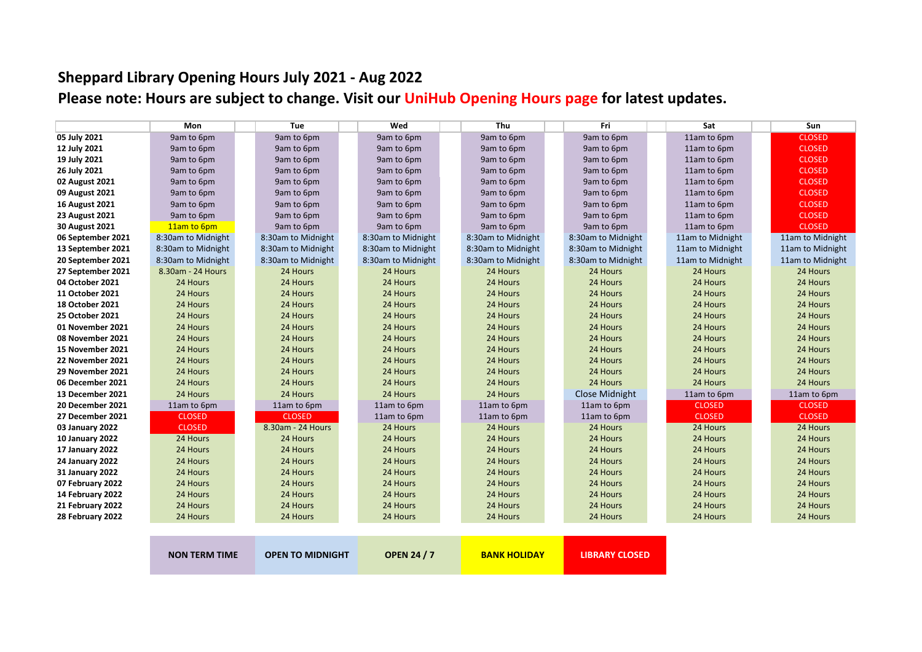## **Sheppard Library Opening Hours July <sup>2021</sup> ‐ Aug <sup>2022</sup>**

Please note: Hours are subject to change. Visit our <mark>UniHub [Opening](https://unihub.mdx.ac.uk/study/library/library-services/library-opening-hours) Hours page</mark> for latest updates.

|                        | Mon                  | Tue                     | Wed                | Thu                 | Fri                   | Sat              | <b>Sun</b>       |
|------------------------|----------------------|-------------------------|--------------------|---------------------|-----------------------|------------------|------------------|
| 05 July 2021           | 9am to 6pm           | 9am to 6pm              | 9am to 6pm         | 9am to 6pm          | 9am to 6pm            | 11am to 6pm      | <b>CLOSED</b>    |
| 12 July 2021           | 9am to 6pm           | 9am to 6pm              | 9am to 6pm         | 9am to 6pm          | 9am to 6pm            | 11am to 6pm      | <b>CLOSED</b>    |
| 19 July 2021           | 9am to 6pm           | 9am to 6pm              | 9am to 6pm         | 9am to 6pm          | 9am to 6pm            | 11am to 6pm      | <b>CLOSED</b>    |
| 26 July 2021           | 9am to 6pm           | 9am to 6pm              | 9am to 6pm         | 9am to 6pm          | 9am to 6pm            | 11am to 6pm      | <b>CLOSED</b>    |
| 02 August 2021         | 9am to 6pm           | 9am to 6pm              | 9am to 6pm         | 9am to 6pm          | 9am to 6pm            | 11am to 6pm      | <b>CLOSED</b>    |
| 09 August 2021         | 9am to 6pm           | 9am to 6pm              | 9am to 6pm         | 9am to 6pm          | 9am to 6pm            | 11am to 6pm      | <b>CLOSED</b>    |
| <b>16 August 2021</b>  | 9am to 6pm           | 9am to 6pm              | 9am to 6pm         | 9am to 6pm          | 9am to 6pm            | 11am to 6pm      | <b>CLOSED</b>    |
| 23 August 2021         | 9am to 6pm           | 9am to 6pm              | 9am to 6pm         | 9am to 6pm          | 9am to 6pm            | 11am to 6pm      | <b>CLOSED</b>    |
| 30 August 2021         | 11am to 6pm          | 9am to 6pm              | 9am to 6pm         | 9am to 6pm          | 9am to 6pm            | 11am to 6pm      | <b>CLOSED</b>    |
| 06 September 2021      | 8:30am to Midnight   | 8:30am to Midnight      | 8:30am to Midnight | 8:30am to Midnight  | 8:30am to Midnight    | 11am to Midnight | 11am to Midnight |
| 13 September 2021      | 8:30am to Midnight   | 8:30am to Midnight      | 8:30am to Midnight | 8:30am to Midnight  | 8:30am to Midnight    | 11am to Midnight | 11am to Midnight |
| 20 September 2021      | 8:30am to Midnight   | 8:30am to Midnight      | 8:30am to Midnight | 8:30am to Midnight  | 8:30am to Midnight    | 11am to Midnight | 11am to Midnight |
| 27 September 2021      | 8.30am - 24 Hours    | 24 Hours                | 24 Hours           | 24 Hours            | 24 Hours              | 24 Hours         | 24 Hours         |
| 04 October 2021        | 24 Hours             | 24 Hours                | 24 Hours           | 24 Hours            | 24 Hours              | 24 Hours         | 24 Hours         |
| 11 October 2021        | 24 Hours             | 24 Hours                | 24 Hours           | 24 Hours            | 24 Hours              | 24 Hours         | 24 Hours         |
| <b>18 October 2021</b> | 24 Hours             | 24 Hours                | 24 Hours           | 24 Hours            | 24 Hours              | 24 Hours         | 24 Hours         |
| <b>25 October 2021</b> | 24 Hours             | 24 Hours                | 24 Hours           | 24 Hours            | 24 Hours              | 24 Hours         | 24 Hours         |
| 01 November 2021       | 24 Hours             | 24 Hours                | 24 Hours           | 24 Hours            | 24 Hours              | 24 Hours         | 24 Hours         |
| 08 November 2021       | 24 Hours             | 24 Hours                | 24 Hours           | 24 Hours            | 24 Hours              | 24 Hours         | 24 Hours         |
| 15 November 2021       | 24 Hours             | 24 Hours                | 24 Hours           | 24 Hours            | 24 Hours              | 24 Hours         | 24 Hours         |
| 22 November 2021       | 24 Hours             | 24 Hours                | 24 Hours           | 24 Hours            | 24 Hours              | 24 Hours         | 24 Hours         |
| 29 November 2021       | 24 Hours             | 24 Hours                | 24 Hours           | 24 Hours            | 24 Hours              | 24 Hours         | 24 Hours         |
| 06 December 2021       | 24 Hours             | 24 Hours                | 24 Hours           | 24 Hours            | 24 Hours              | 24 Hours         | 24 Hours         |
| 13 December 2021       | 24 Hours             | 24 Hours                | 24 Hours           | 24 Hours            | Close Midnight        | 11am to 6pm      | 11am to 6pm      |
| 20 December 2021       | 11am to 6pm          | 11am to 6pm             | 11am to 6pm        | 11am to 6pm         | 11am to 6pm           | <b>CLOSED</b>    | <b>CLOSED</b>    |
| 27 December 2021       | <b>CLOSED</b>        | <b>CLOSED</b>           | 11am to 6pm        | 11am to 6pm         | 11am to 6pm           | <b>CLOSED</b>    | <b>CLOSED</b>    |
| 03 January 2022        | <b>CLOSED</b>        | 8.30am - 24 Hours       | 24 Hours           | 24 Hours            | 24 Hours              | 24 Hours         | 24 Hours         |
| 10 January 2022        | 24 Hours             | 24 Hours                | 24 Hours           | 24 Hours            | 24 Hours              | 24 Hours         | 24 Hours         |
| 17 January 2022        | 24 Hours             | 24 Hours                | 24 Hours           | 24 Hours            | 24 Hours              | 24 Hours         | 24 Hours         |
| 24 January 2022        | 24 Hours             | 24 Hours                | 24 Hours           | 24 Hours            | 24 Hours              | 24 Hours         | 24 Hours         |
| 31 January 2022        | 24 Hours             | 24 Hours                | 24 Hours           | 24 Hours            | 24 Hours              | 24 Hours         | 24 Hours         |
| 07 February 2022       | 24 Hours             | 24 Hours                | 24 Hours           | 24 Hours            | 24 Hours              | 24 Hours         | 24 Hours         |
| 14 February 2022       | 24 Hours             | 24 Hours                | 24 Hours           | 24 Hours            | 24 Hours              | 24 Hours         | 24 Hours         |
| 21 February 2022       | 24 Hours             | 24 Hours                | 24 Hours           | 24 Hours            | 24 Hours              | 24 Hours         | 24 Hours         |
| 28 February 2022       | 24 Hours             | 24 Hours                | 24 Hours           | 24 Hours            | 24 Hours              | 24 Hours         | 24 Hours         |
|                        |                      |                         |                    |                     |                       |                  |                  |
|                        | <b>NON TERM TIME</b> | <b>OPEN TO MIDNIGHT</b> | <b>OPEN 24 / 7</b> | <b>BANK HOLIDAY</b> | <b>LIBRARY CLOSED</b> |                  |                  |